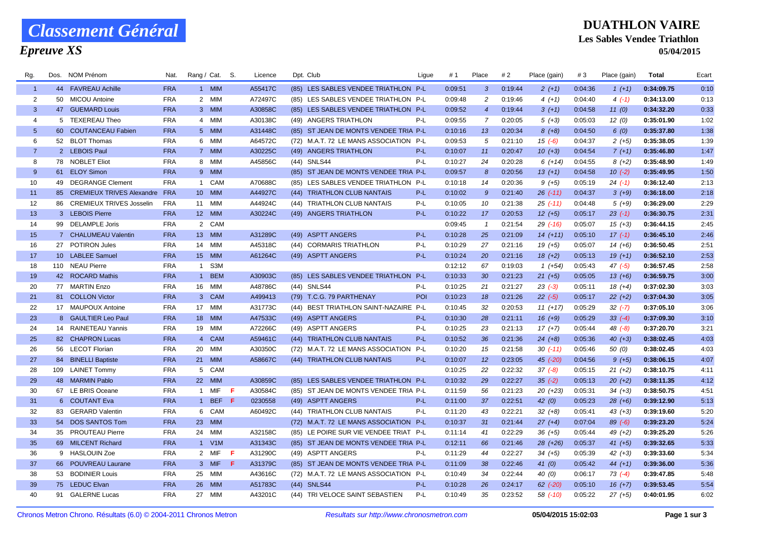## *Classement Général*

#### *Epreuve XS*

### **DUATHLON VAIRE Les Sables Vendee Triathlon**

**05/04/2015**

| Rg.            | Dos. | NOM Prénom                   | Nat.       | Rang / Cat. S.  |            |    | Licence | Dpt. Club                              | Ligue | # 1     | Place           | # 2     | Place (gain) | #3      | Place (gain) | Total      | Ecart |
|----------------|------|------------------------------|------------|-----------------|------------|----|---------|----------------------------------------|-------|---------|-----------------|---------|--------------|---------|--------------|------------|-------|
| $\overline{1}$ |      | 44 FAVREAU Achille           | <b>FRA</b> |                 | 1 MIM      |    | A55417C | (85) LES SABLES VENDEE TRIATHLON P-L   |       | 0:09:51 | $\mathbf{3}$    | 0:19:44 | $2(+1)$      | 0:04:36 | $1(+1)$      | 0:34:09.75 | 0:10  |
| 2              |      | 50 MICOU Antoine             | <b>FRA</b> |                 | 2 MIM      |    | A72497C | (85) LES SABLES VENDEE TRIATHLON P-L   |       | 0:09:48 | $\overline{2}$  | 0:19:46 | $4(+1)$      | 0:04:40 | $4(-1)$      | 0:34:13.00 | 0:13  |
| $\mathbf{3}$   |      | 47 GUEMARD Louis             | <b>FRA</b> |                 | 3 MIM      |    | A30858C | (85) LES SABLES VENDEE TRIATHLON P-L   |       | 0:09:52 | $\overline{4}$  | 0:19:44 | $3(+1)$      | 0:04:58 | 11(0)        | 0:34:32.20 | 0:33  |
| $\overline{4}$ |      | 5 TEXEREAU Theo              | <b>FRA</b> |                 | 4 MIM      |    | A30138C | (49) ANGERS TRIATHLON                  | P-L   | 0:09:55 | $\overline{7}$  | 0:20:05 | $5(+3)$      | 0:05:03 | 12(0)        | 0:35:01.90 | 1:02  |
| 5 <sup>5</sup> |      | 60 COUTANCEAU Fabien         | <b>FRA</b> |                 | 5 MIM      |    | A31448C | (85) ST JEAN DE MONTS VENDEE TRIA P-L  |       | 0:10:16 | 13              | 0:20:34 | $8 (+8)$     | 0:04:50 | 6(0)         | 0:35:37.80 | 1:38  |
| 6              |      | 52 BLOT Thomas               | <b>FRA</b> |                 | 6 MIM      |    | A64572C | (72) M.A.T. 72 LE MANS ASSOCIATION P-L |       | 0:09:53 | 5               | 0:21:10 | $15( -6)$    | 0:04:37 | $2(+5)$      | 0:35:38.05 | 1:39  |
| $\overline{7}$ |      | 2 LEBOIS Paul                | <b>FRA</b> |                 | 7 MIM      |    | A30225C | (49) ANGERS TRIATHLON                  | $P-L$ | 0:10:07 | 11              | 0:20:47 | $10(+3)$     | 0:04:54 | $7(+1)$      | 0:35:46.80 | 1:47  |
| 8              |      | 78 NOBLET Eliot              | <b>FRA</b> |                 | 8 MIM      |    | A45856C | (44) SNLS44                            | P-L   | 0:10:27 | 24              | 0:20:28 | $6(+14)$     | 0:04:55 | $8(+2)$      | 0:35:48.90 | 1:49  |
| 9              |      | 61 ELOY Simon                | <b>FRA</b> |                 | 9 MIM      |    |         | (85) ST JEAN DE MONTS VENDEE TRIA P-L  |       | 0:09:57 | 8               | 0:20:56 | $13(+1)$     | 0:04:58 | $10( -2)$    | 0:35:49.95 | 1:50  |
| 10             |      | 49 DEGRANGE Clement          | <b>FRA</b> |                 | 1 CAM      |    | A70688C | (85) LES SABLES VENDEE TRIATHLON P-L   |       | 0:10:18 | 14              | 0:20:36 | $9(+5)$      | 0:05:19 | $24$ (-1)    | 0:36:12.40 | 2:13  |
| 11             |      | 85 CREMIEUX TRIVES Alexandre | <b>FRA</b> | 10 <sup>1</sup> | <b>MIM</b> |    | A44927C | (44) TRIATHLON CLUB NANTAIS            | $P-L$ | 0:10:02 | $9^{\circ}$     | 0:21:40 | $26$ $(-11)$ | 0:04:37 | $3(+9)$      | 0:36:18.00 | 2:18  |
| 12             |      | 86 CREMIEUX TRIVES Josselin  | <b>FRA</b> | 11              | <b>MIM</b> |    | A44924C | (44) TRIATHLON CLUB NANTAIS            | P-L   | 0:10:05 | 10              | 0:21:38 | $25$ $(-11)$ | 0:04:48 | $5(+9)$      | 0:36:29.00 | 2:29  |
| 13             |      | 3 LEBOIS Pierre              | <b>FRA</b> |                 | 12 MIM     |    | A30224C | (49) ANGERS TRIATHLON                  | $P-L$ | 0:10:22 | 17              | 0:20:53 | $12(+5)$     | 0:05:17 | $23(-1)$     | 0:36:30.75 | 2:31  |
| 14             |      | 99 DELAMPLE Joris            | <b>FRA</b> |                 | 2 CAM      |    |         |                                        |       | 0:09:45 | $\mathbf{1}$    | 0:21:54 | $29$ $(-16)$ | 0:05:07 | $15(+3)$     | 0:36:44.15 | 2:45  |
| 15             |      | 7 CHALUMEAU Valentin         | <b>FRA</b> |                 | 13 MIM     |    | A31289C | (49) ASPTT ANGERS                      | $P-L$ | 0:10:28 | 25              | 0:21:09 | $14(+11)$    | 0:05:10 | $17(-1)$     | 0:36:45.10 | 2:46  |
| 16             |      | 27 POTIRON Jules             | <b>FRA</b> |                 | 14 MIM     |    | A45318C | (44) CORMARIS TRIATHLON                | P-L   | 0:10:29 | 27              | 0:21:16 | $19(+5)$     | 0:05:07 | $14(+6)$     | 0:36:50.45 | 2:51  |
| 17             |      | 10 LABLEE Samuel             | <b>FRA</b> | 15              | <b>MIM</b> |    | A61264C | (49) ASPTT ANGERS                      | $P-L$ | 0:10:24 | 20              | 0:21:16 | $18(+2)$     | 0:05:13 | $19(+1)$     | 0:36:52.10 | 2:53  |
| 18             |      | 110 NEAU Pierre              | <b>FRA</b> | $\overline{1}$  | S3M        |    |         |                                        |       | 0:12:12 | 67              | 0:19:03 | $1(+54)$     | 0:05:43 | 47 (-5)      | 0:36:57.45 | 2:58  |
| 19             |      | 42 ROCARD Mathis             | <b>FRA</b> | $\overline{1}$  | <b>BEM</b> |    | A30903C | (85) LES SABLES VENDEE TRIATHLON P-L   |       | 0:10:33 | 30              | 0:21:23 | $21(+5)$     | 0:05:05 | $13(+6)$     | 0:36:59.75 | 3:00  |
| 20             |      | 77 MARTIN Enzo               | <b>FRA</b> | 16              | MIM        |    | A48786C | (44) SNLS44                            | P-L   | 0:10:25 | 21              | 0:21:27 | $23(-3)$     | 0:05:11 | $18(+4)$     | 0:37:02.30 | 3:03  |
| 21             |      | 81 COLLON Victor             | <b>FRA</b> |                 | 3 CAM      |    | A499413 | (79) T.C.G. 79 PARTHENAY               | POI   | 0:10:23 | 18              | 0:21:26 | $22 (-5)$    | 0:05:17 | $22 (+2)$    | 0:37:04.30 | 3:05  |
| 22             |      | 17 MAUPOUX Antoine           | <b>FRA</b> | 17              | <b>MIM</b> |    | A31773C | (44) BEST TRIATHLON SAINT-NAZAIRE P-L  |       | 0:10:45 | 32              | 0:20:53 | $11 (+17)$   | 0:05:29 | $32 (-7)$    | 0:37:05.10 | 3:06  |
| 23             |      | 8 GAULTIER Leo Paul          | <b>FRA</b> | 18              | <b>MIM</b> |    | A47533C | (49) ASPTT ANGERS                      | $P-L$ | 0:10:30 | 28              | 0:21:11 | $16 (+9)$    | 0:05:29 | $33(-4)$     | 0:37:09.30 | 3:10  |
| 24             |      | 14 RAINETEAU Yannis          | <b>FRA</b> |                 | 19 MIM     |    | A72266C | (49) ASPTT ANGERS                      | P-L   | 0:10:25 | 23              | 0:21:13 | $17(+7)$     | 0:05:44 | $48$ $(-8)$  | 0:37:20.70 | 3:21  |
| 25             |      | 82 CHAPRON Lucas             | <b>FRA</b> |                 | 4 CAM      |    | A59461C | (44) TRIATHLON CLUB NANTAIS            | $P-L$ | 0:10:52 | 36              | 0:21:36 | $24 (+8)$    | 0:05:36 | $40(+3)$     | 0:38:02.45 | 4:03  |
| 26             |      | 56 LECOT Florian             | <b>FRA</b> | 20              | <b>MIM</b> |    | A30350C | (72) M.A.T. 72 LE MANS ASSOCIATION P-L |       | 0:10:20 | 15              | 0:21:58 | $30(-11)$    | 0:05:46 | 50(0)        | 0:38:02.45 | 4:03  |
| 27             |      | 84 BINELLI Baptiste          | <b>FRA</b> |                 | 21 MIM     |    | A58667C | (44) TRIATHLON CLUB NANTAIS            | P-L   | 0:10:07 | 12 <sup>2</sup> | 0:23:05 | $45$ (-20)   | 0:04:56 | $9(+5)$      | 0:38:06.15 | 4:07  |
| 28             |      | 109 LAINET Tommy             | <b>FRA</b> |                 | 5 CAM      |    |         |                                        |       | 0:10:25 | 22              | 0:22:32 | $37(-8)$     | 0:05:15 | $21 (+2)$    | 0:38:10.75 | 4:11  |
| 29             |      | 48 MARMIN Pablo              | <b>FRA</b> | 22 MIM          |            |    | A30859C | (85) LES SABLES VENDEE TRIATHLON P-L   |       | 0:10:32 | 29              | 0:22:27 | $35( -2)$    | 0:05:13 | $20(+2)$     | 0:38:11.35 | 4:12  |
| 30             |      | 67 LE BRIS Oceane            | <b>FRA</b> |                 | 1 MIF      | -F | A30584C | (85) ST JEAN DE MONTS VENDEE TRIA P-L  |       | 0:11:59 | 56              | 0:21:23 | $20(+23)$    | 0:05:31 | $34 (+3)$    | 0:38:50.75 | 4:51  |
| 31             |      | 6 COUTANT Eva                | <b>FRA</b> |                 | 1 BEF F    |    | 0230558 | (49) ASPTT ANGERS                      | $P-L$ | 0:11:00 | 37              | 0:22:51 | 42(0)        | 0:05:23 | $28(+6)$     | 0:39:12.90 | 5:13  |
| 32             |      | 83 GERARD Valentin           | <b>FRA</b> |                 | 6 CAM      |    | A60492C | (44) TRIATHLON CLUB NANTAIS            | P-L   | 0:11:20 | 43              | 0:22:21 | $32 (+8)$    | 0:05:41 | $43 (+3)$    | 0:39:19.60 | 5:20  |
| 33             |      | 54 DOS SANTOS Tom            | <b>FRA</b> | 23              | <b>MIM</b> |    |         | (72) M.A.T. 72 LE MANS ASSOCIATION P-L |       | 0:10:37 | 31              | 0:21:44 | $27 (+4)$    | 0:07:04 | $89(-6)$     | 0:39:23.20 | 5:24  |
| 34             |      | 35 PROUTEAU Pierre           | <b>FRA</b> | 24              | <b>MIM</b> |    | A32158C | (85) LE POIRE SUR VIE VENDEE TRIAT P-L |       | 0:11:14 | 41              | 0:22:29 | $36 (+5)$    | 0:05:44 | $49 (+2)$    | 0:39:25.20 | 5:26  |
| 35             |      | 69 MILCENT Richard           | <b>FRA</b> |                 | 1 V1M      |    | A31343C | (85) ST JEAN DE MONTS VENDEE TRIA P-L  |       | 0:12:11 | 66              | 0:21:46 | 28 (+26)     | 0:05:37 | $41 (+5)$    | 0:39:32.65 | 5:33  |
| 36             |      | 9 HASLOUIN Zoe               | <b>FRA</b> |                 | 2 MIF      | F  | A31290C | (49) ASPTT ANGERS                      | $P-L$ | 0:11:29 | 44              | 0:22:27 | $34(+5)$     | 0:05:39 | $42 (+3)$    | 0:39:33.60 | 5:34  |
| 37             |      | 66 POUVREAU Laurane          | <b>FRA</b> |                 | 3 MIF      | F  | A31379C | (85) ST JEAN DE MONTS VENDEE TRIA P-L  |       | 0:11:09 | 38              | 0:22:46 | 41(0)        | 0:05:42 | $44 (+1)$    | 0:39:36.00 | 5:36  |
| 38             |      | 53 BODINIER Louis            | <b>FRA</b> | 25              | MIM        |    | A43616C | (72) M.A.T. 72 LE MANS ASSOCIATION P-L |       | 0:10:49 | 34              | 0:22:44 | 40(0)        | 0:06:17 | $73(-4)$     | 0:39:47.85 | 5:48  |
| 39             |      | 75 LEDUC Elvan               | <b>FRA</b> | 26              | <b>MIM</b> |    | A51783C | (44) SNLS44                            | P-L   | 0:10:28 | 26              | 0:24:17 | $62$ $(-20)$ | 0:05:10 | $16 (+7)$    | 0:39:53.45 | 5:54  |
| 40             |      | 91 GALERNE Lucas             | <b>FRA</b> |                 | 27 MIM     |    | A43201C | (44) TRI VELOCE SAINT SEBASTIEN        | P-L   | 0:10:49 | 35              | 0:23:52 | 58 (-10)     | 0:05:22 | $27 (+5)$    | 0:40:01.95 | 6:02  |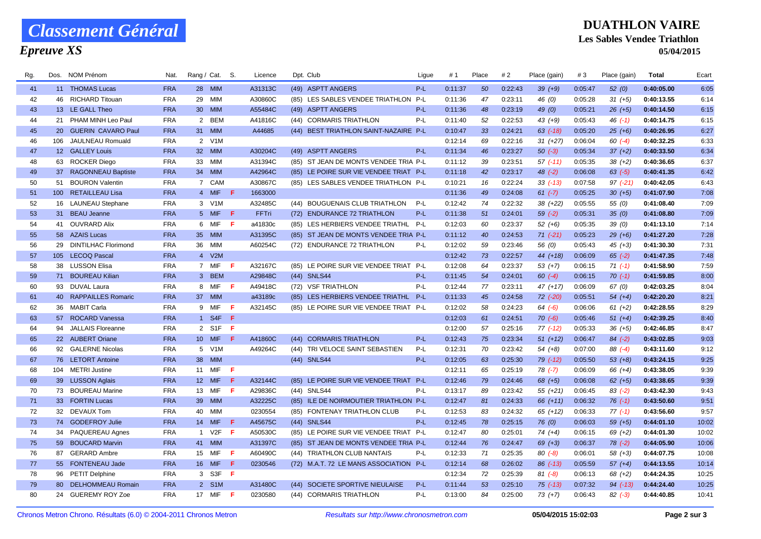# *Classement Général*

*Epreuve XS*

#### **DUATHLON VAIRE Les Sables Vendee Triathlon 05/04/2015**

| Rg. | Dos. | NOM Prénom               | Nat.       | Rang / Cat.     |            | S.  | Licence      | Dpt. Club                              | Ligue | # 1     | Place | # 2     | Place (gain) | #3      | Place (gain) | Total      | Ecart |
|-----|------|--------------------------|------------|-----------------|------------|-----|--------------|----------------------------------------|-------|---------|-------|---------|--------------|---------|--------------|------------|-------|
| 41  |      | 11 THOMAS Lucas          | <b>FRA</b> |                 | 28 MIM     |     | A31313C      | (49) ASPTT ANGERS                      | P-L   | 0:11:37 | 50    | 0:22:43 | $39 (+9)$    | 0:05:47 | 52(0)        | 0:40:05.00 | 6:05  |
| 42  |      | 46 RICHARD Titouan       | <b>FRA</b> | 29              | <b>MIM</b> |     | A30860C      | (85) LES SABLES VENDEE TRIATHLON       | P-L   | 0:11:36 | 47    | 0:23:11 | 46 (0)       | 0:05:28 | $31 (+5)$    | 0:40:13.55 | 6:14  |
| 43  |      | 13 LE GALL Theo          | <b>FRA</b> |                 | 30 MIM     |     | A55484C      | (49) ASPTT ANGERS                      | $P-L$ | 0:11:36 | 48    | 0:23:19 | 49 (0)       | 0:05:21 | $26 (+5)$    | 0:40:14.50 | 6:15  |
| 44  |      | 21 PHAM MINH Leo Paul    | <b>FRA</b> | $\overline{2}$  | <b>BEM</b> |     | A41816C      | (44) CORMARIS TRIATHLON                | P-L   | 0:11:40 | 52    | 0:22:53 | $43(+9)$     | 0:05:43 | 46 (-1)      | 0:40:14.75 | 6:15  |
| 45  |      | 20 GUERIN CAVARO Paul    | <b>FRA</b> |                 | 31 MIM     |     | A44685       | (44) BEST TRIATHLON SAINT-NAZAIRE P-L  |       | 0:10:47 | 33    | 0:24:21 | $63$ $(-18)$ | 0:05:20 | $25(+6)$     | 0:40:26.95 | 6:27  |
| 46  | 106  | JAULNEAU Romuald         | <b>FRA</b> | $\overline{2}$  | V1M        |     |              |                                        |       | 0:12:14 | 69    | 0:22:16 | $31 (+27)$   | 0:06:04 | $60(-4)$     | 0:40:32.25 | 6:33  |
| 47  |      | 12 GALLEY Louis          | <b>FRA</b> | 32 <sup>2</sup> | <b>MIM</b> |     | A30204C      | (49) ASPTT ANGERS                      | $P-L$ | 0:11:34 | 46    | 0:23:27 | $50(-3)$     | 0:05:34 | $37 (+2)$    | 0:40:33.50 | 6:34  |
| 48  |      | 63 ROCKER Diego          | <b>FRA</b> | 33              | MIM        |     | A31394C      | (85) ST JEAN DE MONTS VENDEE TRIA P-L  |       | 0:11:12 | 39    | 0:23:51 | $57$ $(-11)$ | 0:05:35 | $38(+2)$     | 0:40:36.65 | 6:37  |
| 49  |      | 37 RAGONNEAU Baptiste    | <b>FRA</b> | 34              | <b>MIM</b> |     | A42964C      | (85) LE POIRE SUR VIE VENDEE TRIAT P-L |       | 0:11:18 | 42    | 0:23:17 | $48$ $(-2)$  | 0:06:08 | $63$ $(-5)$  | 0:40:41.35 | 6:42  |
| 50  |      | 51 BOURON Valentin       | <b>FRA</b> |                 | 7 CAM      |     | A30867C      | (85) LES SABLES VENDEE TRIATHLON P-L   |       | 0:10:21 | 16    | 0:22:24 | $33$ $(-13)$ | 0:07:58 | $97 (-21)$   | 0:40:42.05 | 6:43  |
| 51  |      | 100 RETAILLEAU Lisa      | <b>FRA</b> |                 | 4 MIF      | -F  | 1663000      |                                        |       | 0:11:36 | 49    | 0:24:08 | $61 (-7)$    | 0:05:25 | $30(+5)$     | 0:41:07.90 | 7:08  |
| 52  |      | 16 LAUNEAU Stephane      | <b>FRA</b> | 3               | V1M        |     | A32485C      | (44) BOUGUENAIS CLUB TRIATHLON         | P-L   | 0:12:42 | 74    | 0:22:32 | $38 (+22)$   | 0:05:55 | 55(0)        | 0:41:08.40 | 7:09  |
| 53  |      | 31 BEAU Jeanne           | <b>FRA</b> |                 | 5 MIF      | -F  | <b>FFTri</b> | (72) ENDURANCE 72 TRIATHLON            | P-L   | 0:11:38 | 51    | 0:24:01 | $59(-2)$     | 0:05:31 | 35(0)        | 0:41:08.80 | 7:09  |
| 54  | 41   | <b>OUVRARD Alix</b>      | <b>FRA</b> |                 | 6 MIF      | -F  | a41830c      | (85) LES HERBIERS VENDEE TRIATHL       | $P-L$ | 0:12:03 | 60    | 0:23:37 | $52(+6)$     | 0:05:35 | 39(0)        | 0:41:13.10 | 7:14  |
| 55  |      | 58 AZAIS Lucas           | <b>FRA</b> | 35 <sub>2</sub> | <b>MIM</b> |     | A31395C      | (85) ST JEAN DE MONTS VENDEE TRIA P-L  |       | 0:11:12 | 40    | 0:24:53 | $71 (-21)$   | 0:05:23 | $29(+6)$     | 0:41:27.20 | 7:28  |
| 56  |      | 29 DINTILHAC Florimond   | <b>FRA</b> | 36              | MIM        |     | A60254C      | (72) ENDURANCE 72 TRIATHLON            | P-L   | 0:12:02 | 59    | 0:23:46 | 56 (0)       | 0:05:43 | $45 (+3)$    | 0:41:30.30 | 7:31  |
| 57  |      | 105 LECOQ Pascal         | <b>FRA</b> |                 | 4 V2M      |     |              |                                        |       | 0:12:42 | 73    | 0:22:57 | $44(+18)$    | 0:06:09 | $65(-2)$     | 0:41:47.35 | 7:48  |
| 58  |      | 38 LUSSON Elisa          | <b>FRA</b> |                 | 7 MIF      | -F  | A32167C      | (85) LE POIRE SUR VIE VENDEE TRIAT     | P-L   | 0:12:08 | 64    | 0:23:37 | $53(+7)$     | 0:06:15 | $71(-1)$     | 0:41:58.90 | 7:59  |
| 59  |      | 71 BOUREAU Kilian        | <b>FRA</b> |                 | 3 BEM      |     | A29848C      | (44) SNLS44                            | $P-L$ | 0:11:45 | 54    | 0:24:01 | $60 (-4)$    | 0:06:15 | $70(-1)$     | 0:41:59.85 | 8:00  |
| 60  |      | 93 DUVAL Laura           | <b>FRA</b> | 8               | MIF        | -F  | A49418C      | (72) VSF TRIATHLON                     | P-L   | 0:12:44 | 77    | 0:23:11 | $47 (+17)$   | 0:06:09 | 67 (0)       | 0:42:03.25 | 8:04  |
| 61  |      | 40 RAPPAILLES Romaric    | <b>FRA</b> | 37              | <b>MIM</b> |     | a43189c      | (85) LES HERBIERS VENDEE TRIATHL       | $P-L$ | 0:11:33 | 45    | 0:24:58 | $72$ $(-20)$ | 0:05:51 | $54(+4)$     | 0:42:20.20 | 8:21  |
| 62  |      | 36 MABIT Carla           | <b>FRA</b> | 9               | MIF        | -F  | A32145C      | (85) LE POIRE SUR VIE VENDEE TRIAT P-L |       | 0:12:02 | 58    | 0:24:23 | $64$ $(-6)$  | 0:06:06 | $61 (+2)$    | 0:42:28.55 | 8:29  |
| 63  |      | 57 ROCARD Vanessa        | <b>FRA</b> |                 | 1 S4F      | -F  |              |                                        |       | 0:12:03 | 61    | 0:24:51 | $70(-6)$     | 0:05:46 | $51 (+4)$    | 0:42:39.25 | 8:40  |
| 64  | 94   | <b>JALLAIS Floreanne</b> | <b>FRA</b> |                 | 2 S1F F    |     |              |                                        |       | 0:12:00 | 57    | 0:25:16 | $77(-12)$    | 0:05:33 | $36(+5)$     | 0:42:46.85 | 8:47  |
| 65  |      | 22 AUBERT Oriane         | <b>FRA</b> |                 | 10 MIF     | F   | A41860C      | (44) CORMARIS TRIATHLON                | P-L   | 0:12:43 | 75    | 0:23:34 | $51 (+12)$   | 0:06:47 | $84 (-2)$    | 0:43:02.85 | 9:03  |
| 66  |      | 92 GALERNE Nicolas       | <b>FRA</b> |                 | 5 V1M      |     | A49264C      | (44) TRI VELOCE SAINT SEBASTIEN        | P-L   | 0:12:31 | 70    | 0:23:42 | $54(+8)$     | 0:07:00 | $88(-4)$     | 0:43:11.60 | 9:12  |
| 67  |      | 76 LETORT Antoine        | <b>FRA</b> | 38              | <b>MIM</b> |     |              | (44) SNLS44                            | $P-L$ | 0:12:05 | 63    | 0:25:30 | $79$ $(-12)$ | 0:05:50 | $53(+8)$     | 0:43:24.15 | 9:25  |
| 68  |      | 104 METRI Justine        | <b>FRA</b> |                 | 11 MIF     | -F  |              |                                        |       | 0:12:11 | 65    | 0:25:19 | $78$ $(-7)$  | 0:06:09 | 66 (+4)      | 0:43:38.05 | 9:39  |
| 69  |      | 39 LUSSON Aglais         | <b>FRA</b> |                 | 12 MIF     | F.  | A32144C      | (85) LE POIRE SUR VIE VENDEE TRIAT P-L |       | 0:12:46 | 79    | 0:24:46 | $68(+5)$     | 0:06:08 | $62$ $(+5)$  | 0:43:38.65 | 9:39  |
| 70  |      | 73 BOUREAU Marine        | <b>FRA</b> |                 | 13 MIF     | -F  | A29836C      | (44) SNLS44                            | P-L   | 0:13:17 | 89    | 0:23:42 | $55(+21)$    | 0:06:45 | $83( -2)$    | 0:43:42.30 | 9:43  |
| 71  |      | 33 FORTIN Lucas          | <b>FRA</b> | 39              | <b>MIM</b> |     | A32225C      | (85) ILE DE NOIRMOUTIER TRIATHLON P-L  |       | 0:12:47 | 81    | 0:24:33 | 66 (+11)     | 0:06:32 | $76$ $(-1)$  | 0:43:50.60 | 9:51  |
| 72  |      | 32 DEVAUX Tom            | <b>FRA</b> | 40              | <b>MIM</b> |     | 0230554      | (85) FONTENAY TRIATHLON CLUB           | P-L   | 0:12:53 | 83    | 0:24:32 | $65 (+12)$   | 0:06:33 | $77(-1)$     | 0:43:56.60 | 9:57  |
| 73  |      | 74 GODEFROY Julie        | <b>FRA</b> | 14              | <b>MIF</b> | F   | A45675C      | (44) SNLS44                            | P-L   | 0:12:45 | 78    | 0:25:15 | 76(0)        | 0:06:03 | $59(+5)$     | 0:44:01.10 | 10:02 |
| 74  |      | 34 PAQUEREAU Agnes       | <b>FRA</b> |                 | 1 V2F      | -F  | A50530C      | (85) LE POIRE SUR VIE VENDEE TRIAT P-L |       | 0:12:47 | 80    | 0:25:01 | $74(+4)$     | 0:06:15 | 69 (+2)      | 0:44:01.30 | 10:02 |
| 75  |      | 59 BOUCARD Marvin        | <b>FRA</b> |                 | 41 MIM     |     | A31397C      | (85) ST JEAN DE MONTS VENDEE TRIA P-L  |       | 0:12:44 | 76    | 0:24:47 | $69 (+3)$    | 0:06:37 | $78(-2)$     | 0:44:05.90 | 10:06 |
| 76  |      | 87 GERARD Ambre          | <b>FRA</b> | 15              | MIF        | -F. | A60490C      | (44) TRIATHLON CLUB NANTAIS            | P-L   | 0:12:33 | 71    | 0:25:35 | $80(-8)$     | 0:06:01 | 58 (+3)      | 0:44:07.75 | 10:08 |
| 77  |      | 55 FONTENEAU Jade        | <b>FRA</b> | 16              | <b>MIF</b> | F   | 0230546      | (72) M.A.T. 72 LE MANS ASSOCIATION P-L |       | 0:12:14 | 68    | 0:26:02 | $86$ $(-13)$ | 0:05:59 | $57(+4)$     | 0:44:13.55 | 10:14 |
| 78  | 96   | <b>PETIT Delphine</b>    | <b>FRA</b> | 3               | S3F        | -F  |              |                                        |       | 0:12:34 | 72    | 0:25:39 | $81 (-8)$    | 0:06:13 | $68 (+2)$    | 0:44:24.35 | 10:25 |
| 79  | 80   | <b>DELHOMMEAU Romain</b> | <b>FRA</b> |                 | 2 S1M      |     | A31480C      | (44) SOCIETE SPORTIVE NIEULAISE        | $P-L$ | 0:11:44 | 53    | 0:25:10 | $75$ $(-13)$ | 0:07:32 | $94$ $(-13)$ | 0:44:24.40 | 10:25 |
| 80  |      | 24 GUEREMY ROY Zoe       | <b>FRA</b> |                 | 17 MIF     | - F | 0230580      | (44) CORMARIS TRIATHLON                | $P-L$ | 0:13:00 | 84    | 0:25:00 | $73(+7)$     | 0:06:43 | $82(-3)$     | 0:44:40.85 | 10:41 |
|     |      |                          |            |                 |            |     |              |                                        |       |         |       |         |              |         |              |            |       |